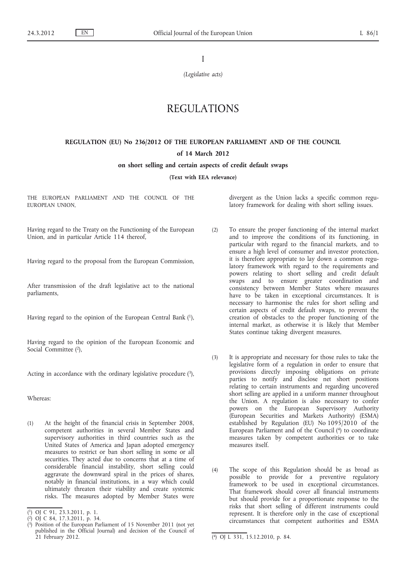I

*(Legislative acts)*

# REGULATIONS

# **REGULATION (EU) No 236/2012 OF THE EUROPEAN PARLIAMENT AND OF THE COUNCIL**

**of 14 March 2012**

# **on short selling and certain aspects of credit default swaps**

**(Text with EEA relevance)**

THE EUROPEAN PARLIAMENT AND THE COUNCIL OF THE EUROPEAN UNION,

Having regard to the Treaty on the Functioning of the European Union, and in particular Article 114 thereof,

Having regard to the proposal from the European Commission,

After transmission of the draft legislative act to the national parliaments,

Having regard to the opinion of the European Central Bank (1),

Having regard to the opinion of the European Economic and Social Committee (2),

Acting in accordance with the ordinary legislative procedure (3),

Whereas:

(1) At the height of the financial crisis in September 2008, competent authorities in several Member States and supervisory authorities in third countries such as the United States of America and Japan adopted emergency measures to restrict or ban short selling in some or all securities. They acted due to concerns that at a time of considerable financial instability, short selling could aggravate the downward spiral in the prices of shares, notably in financial institutions, in a way which could ultimately threaten their viability and create systemic risks. The measures adopted by Member States were

divergent as the Union lacks a specific common regulatory framework for dealing with short selling issues.

- (2) To ensure the proper functioning of the internal market and to improve the conditions of its functioning, in particular with regard to the financial markets, and to ensure a high level of consumer and investor protection, it is therefore appropriate to lay down a common regulatory framework with regard to the requirements and powers relating to short selling and credit default swaps and to ensure greater coordination and consistency between Member States where measures have to be taken in exceptional circumstances. It is necessary to harmonise the rules for short selling and certain aspects of credit default swaps, to prevent the creation of obstacles to the proper functioning of the internal market, as otherwise it is likely that Member States continue taking divergent measures.
- (3) It is appropriate and necessary for those rules to take the legislative form of a regulation in order to ensure that provisions directly imposing obligations on private parties to notify and disclose net short positions relating to certain instruments and regarding uncovered short selling are applied in a uniform manner throughout the Union. A regulation is also necessary to confer powers on the European Supervisory Authority (European Securities and Markets Authority) (ESMA) established by Regulation (EU) No 1095/2010 of the European Parliament and of the Council (4) to coordinate measures taken by competent authorities or to take measures itself.
- (4) The scope of this Regulation should be as broad as possible to provide for a preventive regulatory framework to be used in exceptional circumstances. That framework should cover all financial instruments but should provide for a proportionate response to the risks that short selling of different instruments could represent. It is therefore only in the case of exceptional circumstances that competent authorities and ESMA

<sup>(</sup> 1) OJ C 91, 23.3.2011, p. 1.

<sup>(</sup> 2) OJ C 84, 17.3.2011, p. 34.

<sup>(</sup> Position of the European Parliament of 15 November 2011 (not yet published in the Official Journal) and decision of the Council of

<sup>(4)</sup> OJ L 331, 15.12.2010, p. 84.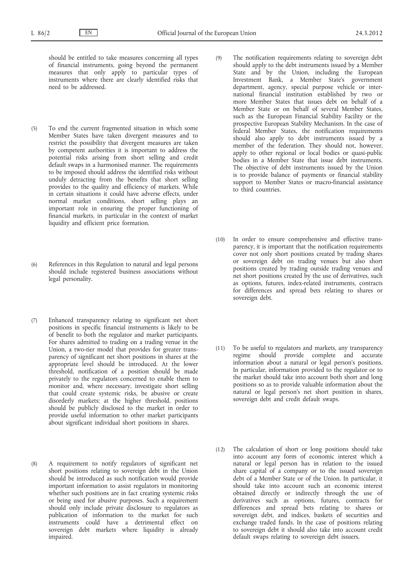should be entitled to take measures concerning all types of financial instruments, going beyond the permanent measures that only apply to particular types of instruments where there are clearly identified risks that need to be addressed.

- (5) To end the current fragmented situation in which some Member States have taken divergent measures and to restrict the possibility that divergent measures are taken by competent authorities it is important to address the potential risks arising from short selling and credit default swaps in a harmonised manner. The requirements to be imposed should address the identified risks without unduly detracting from the benefits that short selling provides to the quality and efficiency of markets. While in certain situations it could have adverse effects, under normal market conditions, short selling plays an important role in ensuring the proper functioning of financial markets, in particular in the context of market liquidity and efficient price formation.
- (6) References in this Regulation to natural and legal persons should include registered business associations without legal personality.
- (7) Enhanced transparency relating to significant net short positions in specific financial instruments is likely to be of benefit to both the regulator and market participants. For shares admitted to trading on a trading venue in the Union, a two-tier model that provides for greater transparency of significant net short positions in shares at the appropriate level should be introduced. At the lower threshold, notification of a position should be made privately to the regulators concerned to enable them to monitor and, where necessary, investigate short selling that could create systemic risks, be abusive or create disorderly markets; at the higher threshold, positions should be publicly disclosed to the market in order to provide useful information to other market participants about significant individual short positions in shares.
- (8) A requirement to notify regulators of significant net short positions relating to sovereign debt in the Union should be introduced as such notification would provide important information to assist regulators in monitoring whether such positions are in fact creating systemic risks or being used for abusive purposes. Such a requirement should only include private disclosure to regulators as publication of information to the market for such instruments could have a detrimental effect on sovereign debt markets where liquidity is already impaired.
- (9) The notification requirements relating to sovereign debt should apply to the debt instruments issued by a Member State and by the Union, including the European Investment Bank, a Member State's government department, agency, special purpose vehicle or international financial institution established by two or more Member States that issues debt on behalf of a Member State or on behalf of several Member States, such as the European Financial Stability Facility or the prospective European Stability Mechanism. In the case of federal Member States, the notification requirements should also apply to debt instruments issued by a member of the federation. They should not, however, apply to other regional or local bodies or quasi-public bodies in a Member State that issue debt instruments. The objective of debt instruments issued by the Union is to provide balance of payments or financial stability support to Member States or macro-financial assistance to third countries.
- (10) In order to ensure comprehensive and effective transparency, it is important that the notification requirements cover not only short positions created by trading shares or sovereign debt on trading venues but also short positions created by trading outside trading venues and net short positions created by the use of derivatives, such as options, futures, index-related instruments, contracts for differences and spread bets relating to shares or sovereign debt.
- (11) To be useful to regulators and markets, any transparency regime should provide complete and accurate information about a natural or legal person's positions. In particular, information provided to the regulator or to the market should take into account both short and long positions so as to provide valuable information about the natural or legal person's net short position in shares, sovereign debt and credit default swaps.
- (12) The calculation of short or long positions should take into account any form of economic interest which a natural or legal person has in relation to the issued share capital of a company or to the issued sovereign debt of a Member State or of the Union. In particular, it should take into account such an economic interest obtained directly or indirectly through the use of derivatives such as options, futures, contracts for differences and spread bets relating to shares or sovereign debt, and indices, baskets of securities and exchange traded funds. In the case of positions relating to sovereign debt it should also take into account credit default swaps relating to sovereign debt issuers.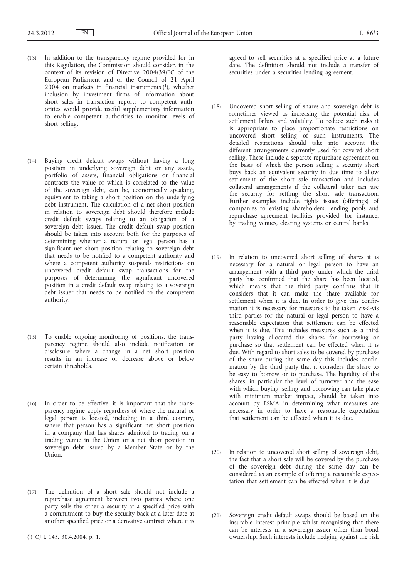- (13) In addition to the transparency regime provided for in this Regulation, the Commission should consider, in the context of its revision of Directive 2004/39/EC of the European Parliament and of the Council of 21 April  $2004$  on markets in financial instruments  $(1)$ , whether inclusion by investment firms of information about short sales in transaction reports to competent authorities would provide useful supplementary information to enable competent authorities to monitor levels of short selling.
- (14) Buying credit default swaps without having a long position in underlying sovereign debt or any assets, portfolio of assets, financial obligations or financial contracts the value of which is correlated to the value of the sovereign debt, can be, economically speaking, equivalent to taking a short position on the underlying debt instrument. The calculation of a net short position in relation to sovereign debt should therefore include credit default swaps relating to an obligation of a sovereign debt issuer. The credit default swap position should be taken into account both for the purposes of determining whether a natural or legal person has a significant net short position relating to sovereign debt that needs to be notified to a competent authority and where a competent authority suspends restrictions on uncovered credit default swap transactions for the purposes of determining the significant uncovered position in a credit default swap relating to a sovereign debt issuer that needs to be notified to the competent authority.
- (15) To enable ongoing monitoring of positions, the transparency regime should also include notification or disclosure where a change in a net short position results in an increase or decrease above or below certain thresholds.
- (16) In order to be effective, it is important that the transparency regime apply regardless of where the natural or legal person is located, including in a third country, where that person has a significant net short position in a company that has shares admitted to trading on a trading venue in the Union or a net short position in sovereign debt issued by a Member State or by the Union.
- (17) The definition of a short sale should not include a repurchase agreement between two parties where one party sells the other a security at a specified price with a commitment to buy the security back at a later date at another specified price or a derivative contract where it is

agreed to sell securities at a specified price at a future date. The definition should not include a transfer of securities under a securities lending agreement.

- (18) Uncovered short selling of shares and sovereign debt is sometimes viewed as increasing the potential risk of settlement failure and volatility. To reduce such risks it is appropriate to place proportionate restrictions on uncovered short selling of such instruments. The detailed restrictions should take into account the different arrangements currently used for covered short selling. These include a separate repurchase agreement on the basis of which the person selling a security short buys back an equivalent security in due time to allow settlement of the short sale transaction and includes collateral arrangements if the collateral taker can use the security for settling the short sale transaction. Further examples include rights issues (offerings) of companies to existing shareholders, lending pools and repurchase agreement facilities provided, for instance, by trading venues, clearing systems or central banks.
- (19) In relation to uncovered short selling of shares it is necessary for a natural or legal person to have an arrangement with a third party under which the third party has confirmed that the share has been located, which means that the third party confirms that it considers that it can make the share available for settlement when it is due. In order to give this confirmation it is necessary for measures to be taken vis-à-vis third parties for the natural or legal person to have a reasonable expectation that settlement can be effected when it is due. This includes measures such as a third party having allocated the shares for borrowing or purchase so that settlement can be effected when it is due. With regard to short sales to be covered by purchase of the share during the same day this includes confirmation by the third party that it considers the share to be easy to borrow or to purchase. The liquidity of the shares, in particular the level of turnover and the ease with which buying, selling and borrowing can take place with minimum market impact, should be taken into account by ESMA in determining what measures are necessary in order to have a reasonable expectation that settlement can be effected when it is due.
- (20) In relation to uncovered short selling of sovereign debt, the fact that a short sale will be covered by the purchase of the sovereign debt during the same day can be considered as an example of offering a reasonable expectation that settlement can be effected when it is due.
- (21) Sovereign credit default swaps should be based on the insurable interest principle whilst recognising that there can be interests in a sovereign issuer other than bond ownership. Such interests include hedging against the risk

<sup>(</sup> 1) OJ L 145, 30.4.2004, p. 1.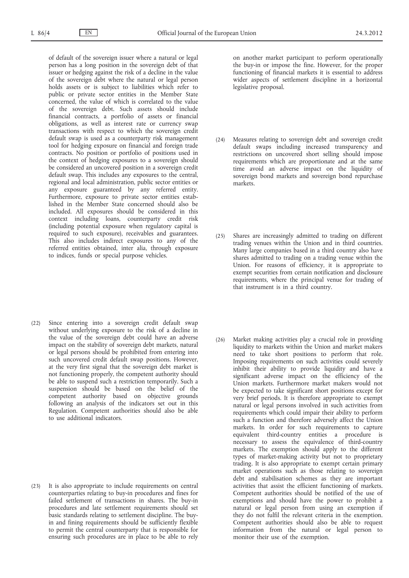of default of the sovereign issuer where a natural or legal person has a long position in the sovereign debt of that issuer or hedging against the risk of a decline in the value of the sovereign debt where the natural or legal person holds assets or is subject to liabilities which refer to public or private sector entities in the Member State concerned, the value of which is correlated to the value of the sovereign debt. Such assets should include financial contracts, a portfolio of assets or financial obligations, as well as interest rate or currency swap transactions with respect to which the sovereign credit default swap is used as a counterparty risk management tool for hedging exposure on financial and foreign trade contracts. No position or portfolio of positions used in the context of hedging exposures to a sovereign should be considered an uncovered position in a sovereign credit default swap. This includes any exposures to the central, regional and local administration, public sector entities or any exposure guaranteed by any referred entity. Furthermore, exposure to private sector entities established in the Member State concerned should also be included. All exposures should be considered in this context including loans, counterparty credit risk (including potential exposure when regulatory capital is required to such exposure), receivables and guarantees. This also includes indirect exposures to any of the referred entities obtained, inter alia, through exposure to indices, funds or special purpose vehicles.

(22) Since entering into a sovereign credit default swap without underlying exposure to the risk of a decline in the value of the sovereign debt could have an adverse impact on the stability of sovereign debt markets, natural or legal persons should be prohibited from entering into such uncovered credit default swap positions. However, at the very first signal that the sovereign debt market is not functioning properly, the competent authority should be able to suspend such a restriction temporarily. Such a suspension should be based on the belief of the competent authority based on objective grounds following an analysis of the indicators set out in this Regulation. Competent authorities should also be able to use additional indicators.

(23) It is also appropriate to include requirements on central counterparties relating to buy-in procedures and fines for failed settlement of transactions in shares. The buy-in procedures and late settlement requirements should set basic standards relating to settlement discipline. The buyin and fining requirements should be sufficiently flexible to permit the central counterparty that is responsible for ensuring such procedures are in place to be able to rely on another market participant to perform operationally the buy-in or impose the fine. However, for the proper functioning of financial markets it is essential to address wider aspects of settlement discipline in a horizontal legislative proposal.

- (24) Measures relating to sovereign debt and sovereign credit default swaps including increased transparency and restrictions on uncovered short selling should impose requirements which are proportionate and at the same time avoid an adverse impact on the liquidity of sovereign bond markets and sovereign bond repurchase markets.
- (25) Shares are increasingly admitted to trading on different trading venues within the Union and in third countries. Many large companies based in a third country also have shares admitted to trading on a trading venue within the Union. For reasons of efficiency, it is appropriate to exempt securities from certain notification and disclosure requirements, where the principal venue for trading of that instrument is in a third country.
- (26) Market making activities play a crucial role in providing liquidity to markets within the Union and market makers need to take short positions to perform that role. Imposing requirements on such activities could severely inhibit their ability to provide liquidity and have a significant adverse impact on the efficiency of the Union markets. Furthermore market makers would not be expected to take significant short positions except for very brief periods. It is therefore appropriate to exempt natural or legal persons involved in such activities from requirements which could impair their ability to perform such a function and therefore adversely affect the Union markets. In order for such requirements to capture equivalent third-country entities a procedure is necessary to assess the equivalence of third-country markets. The exemption should apply to the different types of market-making activity but not to proprietary trading. It is also appropriate to exempt certain primary market operations such as those relating to sovereign debt and stabilisation schemes as they are important activities that assist the efficient functioning of markets. Competent authorities should be notified of the use of exemptions and should have the power to prohibit a natural or legal person from using an exemption if they do not fulfil the relevant criteria in the exemption. Competent authorities should also be able to request information from the natural or legal person to monitor their use of the exemption.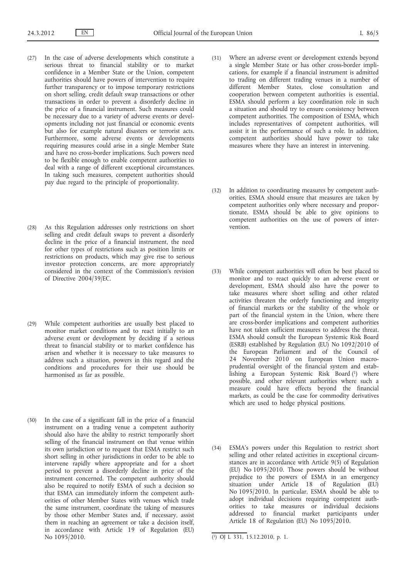- (27) In the case of adverse developments which constitute a serious threat to financial stability or to market confidence in a Member State or the Union, competent authorities should have powers of intervention to require further transparency or to impose temporary restrictions on short selling, credit default swap transactions or other transactions in order to prevent a disorderly decline in the price of a financial instrument. Such measures could be necessary due to a variety of adverse events or developments including not just financial or economic events but also for example natural disasters or terrorist acts. Furthermore, some adverse events or developments requiring measures could arise in a single Member State and have no cross-border implications. Such powers need to be flexible enough to enable competent authorities to deal with a range of different exceptional circumstances. In taking such measures, competent authorities should pay due regard to the principle of proportionality.
- (28) As this Regulation addresses only restrictions on short selling and credit default swaps to prevent a disorderly decline in the price of a financial instrument, the need for other types of restrictions such as position limits or restrictions on products, which may give rise to serious investor protection concerns, are more appropriately considered in the context of the Commission's revision of Directive 2004/39/EC.
- (29) While competent authorities are usually best placed to monitor market conditions and to react initially to an adverse event or development by deciding if a serious threat to financial stability or to market confidence has arisen and whether it is necessary to take measures to address such a situation, powers in this regard and the conditions and procedures for their use should be harmonised as far as possible.
- (30) In the case of a significant fall in the price of a financial instrument on a trading venue a competent authority should also have the ability to restrict temporarily short selling of the financial instrument on that venue within its own jurisdiction or to request that ESMA restrict such short selling in other jurisdictions in order to be able to intervene rapidly where appropriate and for a short period to prevent a disorderly decline in price of the instrument concerned. The competent authority should also be required to notify ESMA of such a decision so that ESMA can immediately inform the competent authorities of other Member States with venues which trade the same instrument, coordinate the taking of measures by those other Member States and, if necessary, assist them in reaching an agreement or take a decision itself, in accordance with Article 19 of Regulation (EU) No 1095/2010.
- (31) Where an adverse event or development extends beyond a single Member State or has other cross-border implications, for example if a financial instrument is admitted to trading on different trading venues in a number of different Member States, close consultation and cooperation between competent authorities is essential. ESMA should perform a key coordination role in such a situation and should try to ensure consistency between competent authorities. The composition of ESMA, which includes representatives of competent authorities, will assist it in the performance of such a role. In addition, competent authorities should have power to take measures where they have an interest in intervening.
- (32) In addition to coordinating measures by competent authorities, ESMA should ensure that measures are taken by competent authorities only where necessary and proportionate. ESMA should be able to give opinions to competent authorities on the use of powers of intervention.
- (33) While competent authorities will often be best placed to monitor and to react quickly to an adverse event or development, ESMA should also have the power to take measures where short selling and other related activities threaten the orderly functioning and integrity of financial markets or the stability of the whole or part of the financial system in the Union, where there are cross-border implications and competent authorities have not taken sufficient measures to address the threat. ESMA should consult the European Systemic Risk Board (ESRB) established by Regulation (EU) No 1092/2010 of the European Parliament and of the Council of 24 November 2010 on European Union macroprudential oversight of the financial system and establishing a European Systemic Risk Board (1) where possible, and other relevant authorities where such a measure could have effects beyond the financial markets, as could be the case for commodity derivatives which are used to hedge physical positions.
- (34) ESMA's powers under this Regulation to restrict short selling and other related activities in exceptional circumstances are in accordance with Article 9(5) of Regulation (EU) No 1095/2010. Those powers should be without prejudice to the powers of ESMA in an emergency situation under Article 18 of Regulation (EU) No 1095/2010. In particular, ESMA should be able to adopt individual decisions requiring competent authorities to take measures or individual decisions addressed to financial market participants under Article 18 of Regulation (EU) No 1095/2010.

<sup>(</sup> 1) OJ L 331, 15.12.2010, p. 1.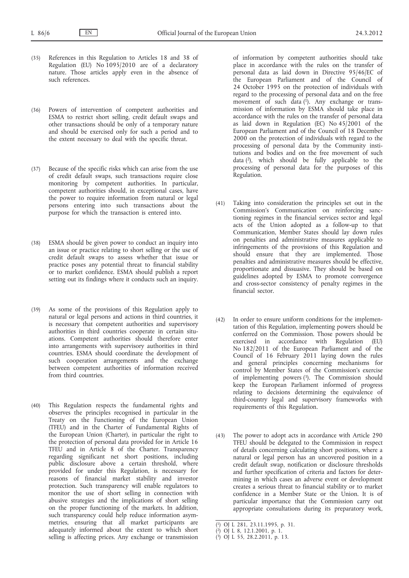- (35) References in this Regulation to Articles 18 and 38 of Regulation (EU) No 1095/2010 are of a declaratory nature. Those articles apply even in the absence of such references.
- (36) Powers of intervention of competent authorities and ESMA to restrict short selling, credit default swaps and other transactions should be only of a temporary nature and should be exercised only for such a period and to the extent necessary to deal with the specific threat.
- (37) Because of the specific risks which can arise from the use of credit default swaps, such transactions require close monitoring by competent authorities. In particular, competent authorities should, in exceptional cases, have the power to require information from natural or legal persons entering into such transactions about the purpose for which the transaction is entered into.
- (38) ESMA should be given power to conduct an inquiry into an issue or practice relating to short selling or the use of credit default swaps to assess whether that issue or practice poses any potential threat to financial stability or to market confidence. ESMA should publish a report setting out its findings where it conducts such an inquiry.
- (39) As some of the provisions of this Regulation apply to natural or legal persons and actions in third countries, it is necessary that competent authorities and supervisory authorities in third countries cooperate in certain situations. Competent authorities should therefore enter into arrangements with supervisory authorities in third countries. ESMA should coordinate the development of such cooperation arrangements and the exchange between competent authorities of information received from third countries.
- (40) This Regulation respects the fundamental rights and observes the principles recognised in particular in the Treaty on the Functioning of the European Union (TFEU) and in the Charter of Fundamental Rights of the European Union (Charter), in particular the right to the protection of personal data provided for in Article 16 TFEU and in Article 8 of the Charter. Transparency regarding significant net short positions, including public disclosure above a certain threshold, where provided for under this Regulation, is necessary for reasons of financial market stability and investor protection. Such transparency will enable regulators to monitor the use of short selling in connection with abusive strategies and the implications of short selling on the proper functioning of the markets. In addition, such transparency could help reduce information asymmetries, ensuring that all market participants are adequately informed about the extent to which short selling is affecting prices. Any exchange or transmission

of information by competent authorities should take place in accordance with the rules on the transfer of personal data as laid down in Directive 95/46/EC of the European Parliament and of the Council of 24 October 1995 on the protection of individuals with regard to the processing of personal data and on the free movement of such data  $(1)$ . Any exchange or transmission of information by ESMA should take place in accordance with the rules on the transfer of personal data as laid down in Regulation (EC) No  $45/2001$  of the European Parliament and of the Council of 18 December 2000 on the protection of individuals with regard to the processing of personal data by the Community institutions and bodies and on the free movement of such data  $(2)$ , which should be fully applicable to the processing of personal data for the purposes of this Regulation.

- (41) Taking into consideration the principles set out in the Commission's Communication on reinforcing sanctioning regimes in the financial services sector and legal acts of the Union adopted as a follow-up to that Communication, Member States should lay down rules on penalties and administrative measures applicable to infringements of the provisions of this Regulation and should ensure that they are implemented. Those penalties and administrative measures should be effective, proportionate and dissuasive. They should be based on guidelines adopted by ESMA to promote convergence and cross-sector consistency of penalty regimes in the financial sector.
- (42) In order to ensure uniform conditions for the implementation of this Regulation, implementing powers should be conferred on the Commission. Those powers should be exercised in accordance with Regulation (EU) No 182/2011 of the European Parliament and of the Council of 16 February 2011 laying down the rules and general principles concerning mechanisms for control by Member States of the Commission's exercise of implementing powers (3). The Commission should keep the European Parliament informed of progress relating to decisions determining the equivalence of third-country legal and supervisory frameworks with requirements of this Regulation.
- (43) The power to adopt acts in accordance with Article 290 TFEU should be delegated to the Commission in respect of details concerning calculating short positions, where a natural or legal person has an uncovered position in a credit default swap, notification or disclosure thresholds and further specification of criteria and factors for determining in which cases an adverse event or development creates a serious threat to financial stability or to market confidence in a Member State or the Union. It is of particular importance that the Commission carry out appropriate consultations during its preparatory work,

<sup>(</sup> 1) OJ L 281, 23.11.1995, p. 31.

<sup>(</sup> 2) OJ L 8, 12.1.2001, p. 1.

<sup>(</sup> 3) OJ L 55, 28.2.2011, p. 13.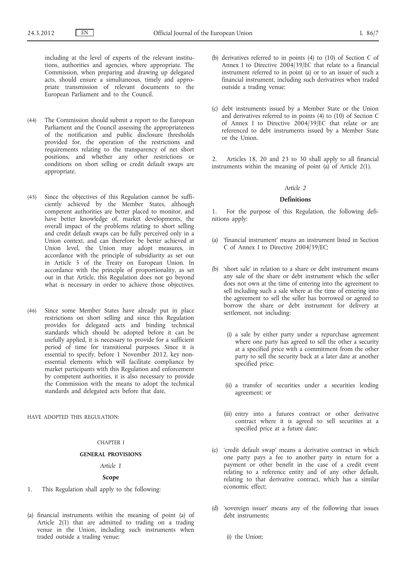including at the level of experts of the relevant institutions, authorities and agencies, where appropriate. The Commission, when preparing and drawing up delegated acts, should ensure a simultaneous, timely and appropriate transmission of relevant documents to the European Parliament and to the Council.

- (44) The Commission should submit a report to the European Parliament and the Council assessing the appropriateness of the notification and public disclosure thresholds provided for, the operation of the restrictions and requirements relating to the transparency of net short positions, and whether any other restrictions or conditions on short selling or credit default swaps are appropriate.
- (45) Since the objectives of this Regulation cannot be sufficiently achieved by the Member States, although competent authorities are better placed to monitor, and have better knowledge of, market developments, the overall impact of the problems relating to short selling and credit default swaps can be fully perceived only in a Union context, and can therefore be better achieved at Union level, the Union may adopt measures, in accordance with the principle of subsidiarity as set out in Article 5 of the Treaty on European Union. In accordance with the principle of proportionality, as set out in that Article, this Regulation does not go beyond what is necessary in order to achieve those objectives.
- (46) Since some Member States have already put in place restrictions on short selling and since this Regulation provides for delegated acts and binding technical standards which should be adopted before it can be usefully applied, it is necessary to provide for a sufficient period of time for transitional purposes. Since it is essential to specify, before 1 November 2012, key nonessential elements which will facilitate compliance by market participants with this Regulation and enforcement by competent authorities, it is also necessary to provide the Commission with the means to adopt the technical standards and delegated acts before that date,

# HAVE ADOPTED THIS REGULATION:

## CHAPTER I

#### **GENERAL PROVISIONS**

# *Article 1*

# **Scope**

- 1. This Regulation shall apply to the following:
- (a) financial instruments within the meaning of point (a) of Article 2(1) that are admitted to trading on a trading venue in the Union, including such instruments when traded outside a trading venue;
- (b) derivatives referred to in points (4) to (10) of Section C of Annex I to Directive 2004/39/EC that relate to a financial instrument referred to in point (a) or to an issuer of such a financial instrument, including such derivatives when traded outside a trading venue;
- (c) debt instruments issued by a Member State or the Union and derivatives referred to in points (4) to (10) of Section C of Annex I to Directive 2004/39/EC that relate or are referenced to debt instruments issued by a Member State or the Union.

2. Articles 18, 20 and 23 to 30 shall apply to all financial instruments within the meaning of point (a) of Article 2(1).

# *Article 2*

#### **Definitions**

1. For the purpose of this Regulation, the following definitions apply:

- (a) 'financial instrument' means an instrument listed in Section C of Annex I to Directive 2004/39/EC;
- (b) 'short sale' in relation to a share or debt instrument means any sale of the share or debt instrument which the seller does not own at the time of entering into the agreement to sell including such a sale where at the time of entering into the agreement to sell the seller has borrowed or agreed to borrow the share or debt instrument for delivery at settlement, not including:
	- (i) a sale by either party under a repurchase agreement where one party has agreed to sell the other a security at a specified price with a commitment from the other party to sell the security back at a later date at another specified price;
	- (ii) a transfer of securities under a securities lending agreement; or
	- (iii) entry into a futures contract or other derivative contract where it is agreed to sell securities at a specified price at a future date;
- (c) 'credit default swap' means a derivative contract in which one party pays a fee to another party in return for a payment or other benefit in the case of a credit event relating to a reference entity and of any other default, relating to that derivative contract, which has a similar economic effect;
- (d) 'sovereign issuer' means any of the following that issues debt instruments:
	- (i) the Union;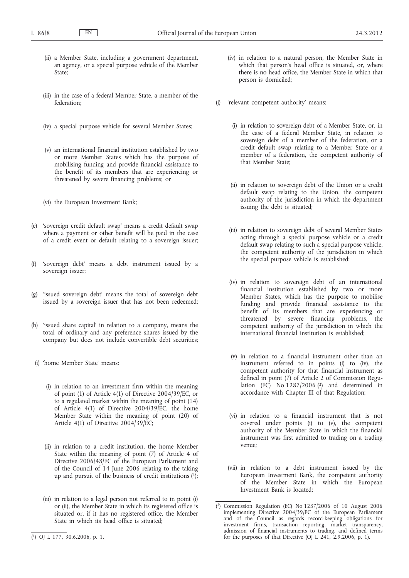- (ii) a Member State, including a government department, an agency, or a special purpose vehicle of the Member State;
- (iii) in the case of a federal Member State, a member of the federation;
- (iv) a special purpose vehicle for several Member States;
- (v) an international financial institution established by two or more Member States which has the purpose of mobilising funding and provide financial assistance to the benefit of its members that are experiencing or threatened by severe financing problems; or
- (vi) the European Investment Bank;
- (e) 'sovereign credit default swap' means a credit default swap where a payment or other benefit will be paid in the case of a credit event or default relating to a sovereign issuer;
- (f) 'sovereign debt' means a debt instrument issued by a sovereign issuer;
- (g) 'issued sovereign debt' means the total of sovereign debt issued by a sovereign issuer that has not been redeemed;
- (h) 'issued share capital' in relation to a company, means the total of ordinary and any preference shares issued by the company but does not include convertible debt securities;
- (i) 'home Member State' means:
	- (i) in relation to an investment firm within the meaning of point (1) of Article 4(1) of Directive 2004/39/EC, or to a regulated market within the meaning of point (14) of Article 4(1) of Directive 2004/39/EC, the home Member State within the meaning of point (20) of Article 4(1) of Directive 2004/39/EC;
	- (ii) in relation to a credit institution, the home Member State within the meaning of point (7) of Article 4 of Directive 2006/48/EC of the European Parliament and of the Council of 14 June 2006 relating to the taking up and pursuit of the business of credit institutions  $(1)$ ;
	- (iii) in relation to a legal person not referred to in point (i) or (ii), the Member State in which its registered office is situated or, if it has no registered office, the Member State in which its head office is situated:
- (iv) in relation to a natural person, the Member State in which that person's head office is situated, or, where there is no head office, the Member State in which that person is domiciled;
- (j) 'relevant competent authority' means:
	- (i) in relation to sovereign debt of a Member State, or, in the case of a federal Member State, in relation to sovereign debt of a member of the federation, or a credit default swap relating to a Member State or a member of a federation, the competent authority of that Member State;
	- (ii) in relation to sovereign debt of the Union or a credit default swap relating to the Union, the competent authority of the jurisdiction in which the department issuing the debt is situated;
	- (iii) in relation to sovereign debt of several Member States acting through a special purpose vehicle or a credit default swap relating to such a special purpose vehicle, the competent authority of the jurisdiction in which the special purpose vehicle is established;
	- (iv) in relation to sovereign debt of an international financial institution established by two or more Member States, which has the purpose to mobilise funding and provide financial assistance to the benefit of its members that are experiencing or threatened by severe financing problems, the competent authority of the jurisdiction in which the international financial institution is established;
	- (v) in relation to a financial instrument other than an instrument referred to in points (i) to (iv), the competent authority for that financial instrument as defined in point (7) of Article 2 of Commission Regulation (EC) No 1287/2006 (2) and determined in accordance with Chapter III of that Regulation;
	- (vi) in relation to a financial instrument that is not covered under points (i) to (v), the competent authority of the Member State in which the financial instrument was first admitted to trading on a trading venue;
	- (vii) in relation to a debt instrument issued by the European Investment Bank, the competent authority of the Member State in which the European Investment Bank is located;

<sup>(</sup> 1) OJ L 177, 30.6.2006, p. 1.

<sup>(</sup> 2) Commission Regulation (EC) No 1287/2006 of 10 August 2006 implementing Directive 2004/39/EC of the European Parliament and of the Council as regards record-keeping obligations for investment firms, transaction reporting, market transparency, admission of financial instruments to trading, and defined terms for the purposes of that Directive (OJ L 241, 2.9.2006, p. 1).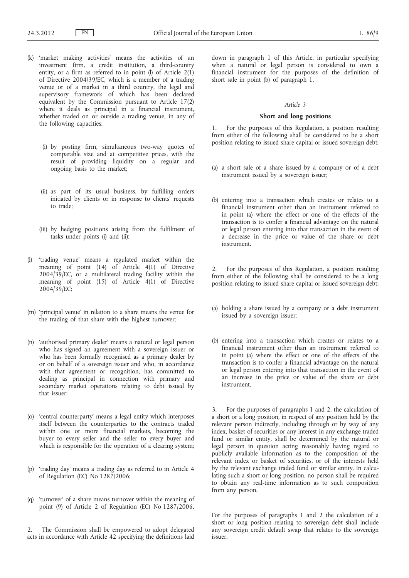- (k) 'market making activities' means the activities of an investment firm, a credit institution, a third-country entity, or a firm as referred to in point (l) of Article 2(1) of Directive 2004/39/EC, which is a member of a trading venue or of a market in a third country, the legal and supervisory framework of which has been declared equivalent by the Commission pursuant to Article 17(2) where it deals as principal in a financial instrument, whether traded on or outside a trading venue, in any of the following capacities:
	- (i) by posting firm, simultaneous two-way quotes of comparable size and at competitive prices, with the result of providing liquidity on a regular and ongoing basis to the market;
	- (ii) as part of its usual business, by fulfilling orders initiated by clients or in response to clients' requests to trade;
	- (iii) by hedging positions arising from the fulfilment of tasks under points (i) and (ii);
- trading venue' means a regulated market within the meaning of point (14) of Article 4(1) of Directive 2004/39/EC, or a multilateral trading facility within the meaning of point (15) of Article 4(1) of Directive 2004/39/EC;
- (m) 'principal venue' in relation to a share means the venue for the trading of that share with the highest turnover;
- (n) 'authorised primary dealer' means a natural or legal person who has signed an agreement with a sovereign issuer or who has been formally recognised as a primary dealer by or on behalf of a sovereign issuer and who, in accordance with that agreement or recognition, has committed to dealing as principal in connection with primary and secondary market operations relating to debt issued by that issuer;
- (o) 'central counterparty' means a legal entity which interposes itself between the counterparties to the contracts traded within one or more financial markets, becoming the buyer to every seller and the seller to every buyer and which is responsible for the operation of a clearing system;
- (p) 'trading day' means a trading day as referred to in Article 4 of Regulation (EC) No 1287/2006;
- (q) 'turnover' of a share means turnover within the meaning of point (9) of Article 2 of Regulation (EC) No 1287/2006.

The Commission shall be empowered to adopt delegated acts in accordance with Article 42 specifying the definitions laid down in paragraph 1 of this Article, in particular specifying when a natural or legal person is considered to own a financial instrument for the purposes of the definition of short sale in point (b) of paragraph 1.

#### *Article 3*

## **Short and long positions**

1. For the purposes of this Regulation, a position resulting from either of the following shall be considered to be a short position relating to issued share capital or issued sovereign debt:

- (a) a short sale of a share issued by a company or of a debt instrument issued by a sovereign issuer;
- (b) entering into a transaction which creates or relates to a financial instrument other than an instrument referred to in point (a) where the effect or one of the effects of the transaction is to confer a financial advantage on the natural or legal person entering into that transaction in the event of a decrease in the price or value of the share or debt instrument.

2. For the purposes of this Regulation, a position resulting from either of the following shall be considered to be a long position relating to issued share capital or issued sovereign debt:

- (a) holding a share issued by a company or a debt instrument issued by a sovereign issuer;
- (b) entering into a transaction which creates or relates to a financial instrument other than an instrument referred to in point (a) where the effect or one of the effects of the transaction is to confer a financial advantage on the natural or legal person entering into that transaction in the event of an increase in the price or value of the share or debt instrument.

3. For the purposes of paragraphs 1 and 2, the calculation of a short or a long position, in respect of any position held by the relevant person indirectly, including through or by way of any index, basket of securities or any interest in any exchange traded fund or similar entity, shall be determined by the natural or legal person in question acting reasonably having regard to publicly available information as to the composition of the relevant index or basket of securities, or of the interests held by the relevant exchange traded fund or similar entity. In calculating such a short or long position, no person shall be required to obtain any real-time information as to such composition from any person.

For the purposes of paragraphs 1 and 2 the calculation of a short or long position relating to sovereign debt shall include any sovereign credit default swap that relates to the sovereign issuer.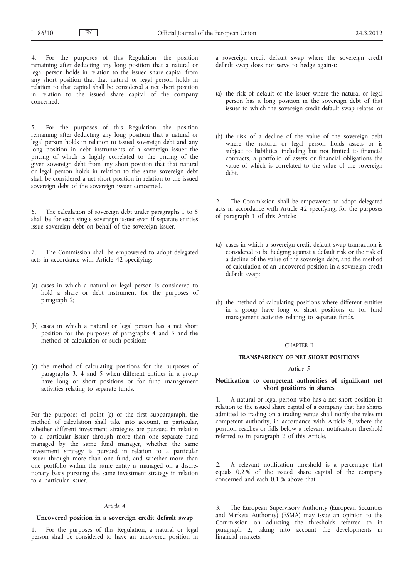4. For the purposes of this Regulation, the position remaining after deducting any long position that a natural or legal person holds in relation to the issued share capital from any short position that that natural or legal person holds in relation to that capital shall be considered a net short position in relation to the issued share capital of the company concerned.

5. For the purposes of this Regulation, the position remaining after deducting any long position that a natural or legal person holds in relation to issued sovereign debt and any long position in debt instruments of a sovereign issuer the pricing of which is highly correlated to the pricing of the given sovereign debt from any short position that that natural or legal person holds in relation to the same sovereign debt shall be considered a net short position in relation to the issued sovereign debt of the sovereign issuer concerned.

6. The calculation of sovereign debt under paragraphs 1 to 5 shall be for each single sovereign issuer even if separate entities issue sovereign debt on behalf of the sovereign issuer.

7. The Commission shall be empowered to adopt delegated acts in accordance with Article 42 specifying:

- (a) cases in which a natural or legal person is considered to hold a share or debt instrument for the purposes of paragraph 2;
- (b) cases in which a natural or legal person has a net short position for the purposes of paragraphs 4 and 5 and the method of calculation of such position;
- (c) the method of calculating positions for the purposes of paragraphs 3, 4 and 5 when different entities in a group have long or short positions or for fund management activities relating to separate funds.

For the purposes of point (c) of the first subparagraph, the method of calculation shall take into account, in particular, whether different investment strategies are pursued in relation to a particular issuer through more than one separate fund managed by the same fund manager, whether the same investment strategy is pursued in relation to a particular issuer through more than one fund, and whether more than one portfolio within the same entity is managed on a discretionary basis pursuing the same investment strategy in relation to a particular issuer.

## *Article 4*

# **Uncovered position in a sovereign credit default swap**

1. For the purposes of this Regulation, a natural or legal person shall be considered to have an uncovered position in

a sovereign credit default swap where the sovereign credit default swap does not serve to hedge against:

- (a) the risk of default of the issuer where the natural or legal person has a long position in the sovereign debt of that issuer to which the sovereign credit default swap relates; or
- (b) the risk of a decline of the value of the sovereign debt where the natural or legal person holds assets or is subject to liabilities, including but not limited to financial contracts, a portfolio of assets or financial obligations the value of which is correlated to the value of the sovereign debt.

2. The Commission shall be empowered to adopt delegated acts in accordance with Article 42 specifying, for the purposes of paragraph 1 of this Article:

- (a) cases in which a sovereign credit default swap transaction is considered to be hedging against a default risk or the risk of a decline of the value of the sovereign debt, and the method of calculation of an uncovered position in a sovereign credit default swap;
- (b) the method of calculating positions where different entities in a group have long or short positions or for fund management activities relating to separate funds.

## CHAPTER II

## **TRANSPARENCY OF NET SHORT POSITIONS**

## *Article 5*

## **Notification to competent authorities of significant net short positions in shares**

1. A natural or legal person who has a net short position in relation to the issued share capital of a company that has shares admitted to trading on a trading venue shall notify the relevant competent authority, in accordance with Article 9, where the position reaches or falls below a relevant notification threshold referred to in paragraph 2 of this Article.

2. A relevant notification threshold is a percentage that equals 0,2 % of the issued share capital of the company concerned and each 0,1 % above that.

The European Supervisory Authority (European Securities and Markets Authority) (ESMA) may issue an opinion to the Commission on adjusting the thresholds referred to in paragraph 2, taking into account the developments in financial markets.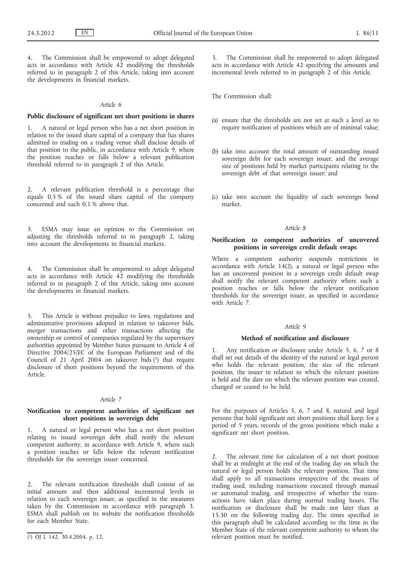4. The Commission shall be empowered to adopt delegated acts in accordance with Article 42 modifying the thresholds referred to in paragraph 2 of this Article, taking into account the developments in financial markets.

#### *Article 6*

# **Public disclosure of significant net short positions in shares**

1. A natural or legal person who has a net short position in relation to the issued share capital of a company that has shares admitted to trading on a trading venue shall disclose details of that position to the public, in accordance with Article 9, where the position reaches or falls below a relevant publication threshold referred to in paragraph 2 of this Article.

2. A relevant publication threshold is a percentage that equals 0,5 % of the issued share capital of the company concerned and each 0,1 % above that.

ESMA may issue an opinion to the Commission on adjusting the thresholds referred to in paragraph 2, taking into account the developments in financial markets.

4. The Commission shall be empowered to adopt delegated acts in accordance with Article 42 modifying the thresholds referred to in paragraph 2 of this Article, taking into account the developments in financial markets.

5. This Article is without prejudice to laws, regulations and administrative provisions adopted in relation to takeover bids, merger transactions and other transactions affecting the ownership or control of companies regulated by the supervisory authorities appointed by Member States pursuant to Article 4 of Directive 2004/25/EC of the European Parliament and of the Council of  $21$  April 2004 on takeover bids  $(1)$  that require disclosure of short positions beyond the requirements of this Article.

## *Article 7*

# **Notification to competent authorities of significant net short positions in sovereign debt**

1. A natural or legal person who has a net short position relating to issued sovereign debt shall notify the relevant competent authority, in accordance with Article 9, where such a position reaches or falls below the relevant notification thresholds for the sovereign issuer concerned.

2. The relevant notification thresholds shall consist of an initial amount and then additional incremental levels in relation to each sovereign issuer, as specified in the measures taken by the Commission in accordance with paragraph 3. ESMA shall publish on its website the notification thresholds for each Member State.

3. The Commission shall be empowered to adopt delegated acts in accordance with Article 42 specifying the amounts and incremental levels referred to in paragraph  $\tilde{2}$  of this Article.

The Commission shall:

- (a) ensure that the thresholds are not set at such a level as to require notification of positions which are of minimal value;
- (b) take into account the total amount of outstanding issued sovereign debt for each sovereign issuer, and the average size of positions held by market participants relating to the sovereign debt of that sovereign issuer; and
- (c) take into account the liquidity of each sovereign bond market.

## *Article 8*

## **Notification to competent authorities of uncovered positions in sovereign credit default swaps**

Where a competent authority suspends restrictions in accordance with Article 14(2), a natural or legal person who has an uncovered position in a sovereign credit default swap shall notify the relevant competent authority where such a position reaches or falls below the relevant notification thresholds for the sovereign issuer, as specified in accordance with Article 7.

## *Article 9*

#### **Method of notification and disclosure**

Any notification or disclosure under Article 5, 6, 7 or 8 shall set out details of the identity of the natural or legal person who holds the relevant position, the size of the relevant position, the issuer in relation to which the relevant position is held and the date on which the relevant position was created, changed or ceased to be held.

For the purposes of Articles 5, 6, 7 and 8, natural and legal persons that hold significant net short positions shall keep, for a period of 5 years, records of the gross positions which make a significant net short position.

The relevant time for calculation of a net short position shall be at midnight at the end of the trading day on which the natural or legal person holds the relevant position. That time shall apply to all transactions irrespective of the means of trading used, including transactions executed through manual or automated trading, and irrespective of whether the transactions have taken place during normal trading hours. The notification or disclosure shall be made not later than at 15.30 on the following trading day. The times specified in this paragraph shall be calculated according to the time in the Member State of the relevant competent authority to whom the relevant position must be notified.

<sup>(</sup> 1) OJ L 142, 30.4.2004, p. 12.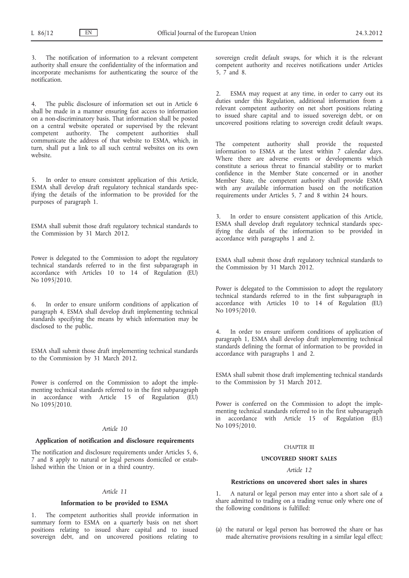The notification of information to a relevant competent authority shall ensure the confidentiality of the information and incorporate mechanisms for authenticating the source of the notification.

4. The public disclosure of information set out in Article 6 shall be made in a manner ensuring fast access to information on a non-discriminatory basis. That information shall be posted on a central website operated or supervised by the relevant competent authority. The competent authorities shall communicate the address of that website to ESMA, which, in turn, shall put a link to all such central websites on its own website.

In order to ensure consistent application of this Article, ESMA shall develop draft regulatory technical standards specifying the details of the information to be provided for the purposes of paragraph 1.

ESMA shall submit those draft regulatory technical standards to the Commission by 31 March 2012.

Power is delegated to the Commission to adopt the regulatory technical standards referred to in the first subparagraph in accordance with Articles 10 to 14 of Regulation (EU) No 1095/2010.

6. In order to ensure uniform conditions of application of paragraph 4, ESMA shall develop draft implementing technical standards specifying the means by which information may be disclosed to the public.

ESMA shall submit those draft implementing technical standards to the Commission by 31 March 2012.

Power is conferred on the Commission to adopt the implementing technical standards referred to in the first subparagraph in accordance with Article 15 of Regulation (EU) No 1095/2010.

#### *Article 10*

#### **Application of notification and disclosure requirements**

The notification and disclosure requirements under Articles 5, 6, 7 and 8 apply to natural or legal persons domiciled or established within the Union or in a third country.

# *Article 11*

## **Information to be provided to ESMA**

1. The competent authorities shall provide information in summary form to ESMA on a quarterly basis on net short positions relating to issued share capital and to issued sovereign debt, and on uncovered positions relating to sovereign credit default swaps, for which it is the relevant competent authority and receives notifications under Articles 5, 7 and 8.

2. ESMA may request at any time, in order to carry out its duties under this Regulation, additional information from a relevant competent authority on net short positions relating to issued share capital and to issued sovereign debt, or on uncovered positions relating to sovereign credit default swaps.

The competent authority shall provide the requested information to ESMA at the latest within 7 calendar days. Where there are adverse events or developments which constitute a serious threat to financial stability or to market confidence in the Member State concerned or in another Member State, the competent authority shall provide ESMA with any available information based on the notification requirements under Articles 5, 7 and 8 within 24 hours.

3. In order to ensure consistent application of this Article, ESMA shall develop draft regulatory technical standards specifying the details of the information to be provided in accordance with paragraphs 1 and 2.

ESMA shall submit those draft regulatory technical standards to the Commission by 31 March 2012.

Power is delegated to the Commission to adopt the regulatory technical standards referred to in the first subparagraph in accordance with Articles 10 to 14 of Regulation (EU) No 1095/2010.

4. In order to ensure uniform conditions of application of paragraph 1, ESMA shall develop draft implementing technical standards defining the format of information to be provided in accordance with paragraphs 1 and 2.

ESMA shall submit those draft implementing technical standards to the Commission by 31 March 2012.

Power is conferred on the Commission to adopt the implementing technical standards referred to in the first subparagraph in accordance with Article 15 of Regulation (EU) No 1095/2010.

## CHAPTER III

#### **UNCOVERED SHORT SALES**

# *Article 12*

# **Restrictions on uncovered short sales in shares**

1. A natural or legal person may enter into a short sale of a share admitted to trading on a trading venue only where one of the following conditions is fulfilled:

(a) the natural or legal person has borrowed the share or has made alternative provisions resulting in a similar legal effect;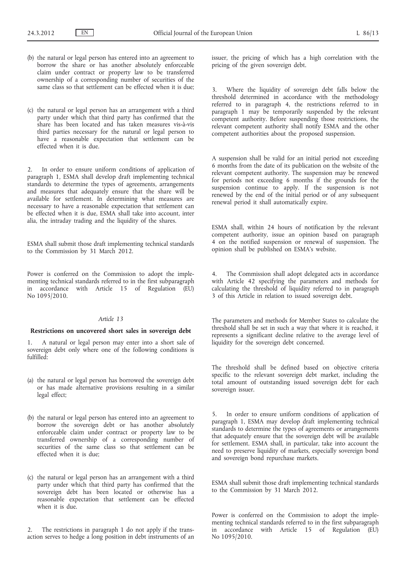- (b) the natural or legal person has entered into an agreement to borrow the share or has another absolutely enforceable claim under contract or property law to be transferred ownership of a corresponding number of securities of the same class so that settlement can be effected when it is due;
- (c) the natural or legal person has an arrangement with a third party under which that third party has confirmed that the share has been located and has taken measures vis-à-vis third parties necessary for the natural or legal person to have a reasonable expectation that settlement can be effected when it is due.

2. In order to ensure uniform conditions of application of paragraph 1, ESMA shall develop draft implementing technical standards to determine the types of agreements, arrangements and measures that adequately ensure that the share will be available for settlement. In determining what measures are necessary to have a reasonable expectation that settlement can be effected when it is due, ESMA shall take into account, inter alia, the intraday trading and the liquidity of the shares.

ESMA shall submit those draft implementing technical standards to the Commission by 31 March 2012.

Power is conferred on the Commission to adopt the implementing technical standards referred to in the first subparagraph in accordance with Article 15 of Regulation (EU) No 1095/2010.

# *Article 13*

#### **Restrictions on uncovered short sales in sovereign debt**

1. A natural or legal person may enter into a short sale of sovereign debt only where one of the following conditions is fulfilled:

- (a) the natural or legal person has borrowed the sovereign debt or has made alternative provisions resulting in a similar legal effect;
- (b) the natural or legal person has entered into an agreement to borrow the sovereign debt or has another absolutely enforceable claim under contract or property law to be transferred ownership of a corresponding number of securities of the same class so that settlement can be effected when it is due;
- (c) the natural or legal person has an arrangement with a third party under which that third party has confirmed that the sovereign debt has been located or otherwise has a reasonable expectation that settlement can be effected when it is due.

The restrictions in paragraph 1 do not apply if the transaction serves to hedge a long position in debt instruments of an issuer, the pricing of which has a high correlation with the pricing of the given sovereign debt.

3. Where the liquidity of sovereign debt falls below the threshold determined in accordance with the methodology referred to in paragraph 4, the restrictions referred to in paragraph 1 may be temporarily suspended by the relevant competent authority. Before suspending those restrictions, the relevant competent authority shall notify ESMA and the other competent authorities about the proposed suspension.

A suspension shall be valid for an initial period not exceeding 6 months from the date of its publication on the website of the relevant competent authority. The suspension may be renewed for periods not exceeding 6 months if the grounds for the suspension continue to apply. If the suspension is not renewed by the end of the initial period or of any subsequent renewal period it shall automatically expire.

ESMA shall, within 24 hours of notification by the relevant competent authority, issue an opinion based on paragraph 4 on the notified suspension or renewal of suspension. The opinion shall be published on ESMA's website.

4. The Commission shall adopt delegated acts in accordance with Article 42 specifying the parameters and methods for calculating the threshold of liquidity referred to in paragraph 3 of this Article in relation to issued sovereign debt.

The parameters and methods for Member States to calculate the threshold shall be set in such a way that where it is reached, it represents a significant decline relative to the average level of liquidity for the sovereign debt concerned.

The threshold shall be defined based on objective criteria specific to the relevant sovereign debt market, including the total amount of outstanding issued sovereign debt for each sovereign issuer.

5. In order to ensure uniform conditions of application of paragraph 1, ESMA may develop draft implementing technical standards to determine the types of agreements or arrangements that adequately ensure that the sovereign debt will be available for settlement. ESMA shall, in particular, take into account the need to preserve liquidity of markets, especially sovereign bond and sovereign bond repurchase markets.

ESMA shall submit those draft implementing technical standards to the Commission by 31 March 2012.

Power is conferred on the Commission to adopt the implementing technical standards referred to in the first subparagraph in accordance with Article 15 of Regulation (EU) No 1095/2010.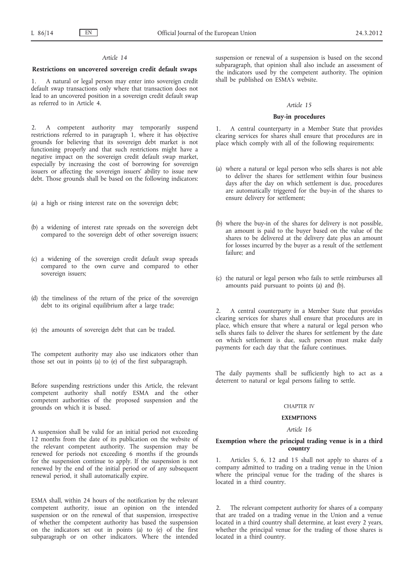## *Article 14*

#### **Restrictions on uncovered sovereign credit default swaps**

1. A natural or legal person may enter into sovereign credit default swap transactions only where that transaction does not lead to an uncovered position in a sovereign credit default swap as referred to in Article 4.

2. A competent authority may temporarily suspend restrictions referred to in paragraph 1, where it has objective grounds for believing that its sovereign debt market is not functioning properly and that such restrictions might have a negative impact on the sovereign credit default swap market, especially by increasing the cost of borrowing for sovereign issuers or affecting the sovereign issuers' ability to issue new debt. Those grounds shall be based on the following indicators:

- (a) a high or rising interest rate on the sovereign debt;
- (b) a widening of interest rate spreads on the sovereign debt compared to the sovereign debt of other sovereign issuers;
- (c) a widening of the sovereign credit default swap spreads compared to the own curve and compared to other sovereign issuers;
- (d) the timeliness of the return of the price of the sovereign debt to its original equilibrium after a large trade;
- (e) the amounts of sovereign debt that can be traded.

The competent authority may also use indicators other than those set out in points (a) to (e) of the first subparagraph.

Before suspending restrictions under this Article, the relevant competent authority shall notify ESMA and the other competent authorities of the proposed suspension and the grounds on which it is based.

A suspension shall be valid for an initial period not exceeding 12 months from the date of its publication on the website of the relevant competent authority. The suspension may be renewed for periods not exceeding 6 months if the grounds for the suspension continue to apply. If the suspension is not renewed by the end of the initial period or of any subsequent renewal period, it shall automatically expire.

ESMA shall, within 24 hours of the notification by the relevant competent authority, issue an opinion on the intended suspension or on the renewal of that suspension, irrespective of whether the competent authority has based the suspension on the indicators set out in points (a) to (e) of the first subparagraph or on other indicators. Where the intended suspension or renewal of a suspension is based on the second subparagraph, that opinion shall also include an assessment of the indicators used by the competent authority. The opinion shall be published on ESMA's website.

#### *Article 15*

## **Buy-in procedures**

1. A central counterparty in a Member State that provides clearing services for shares shall ensure that procedures are in place which comply with all of the following requirements:

- (a) where a natural or legal person who sells shares is not able to deliver the shares for settlement within four business days after the day on which settlement is due, procedures are automatically triggered for the buy-in of the shares to ensure delivery for settlement;
- (b) where the buy-in of the shares for delivery is not possible, an amount is paid to the buyer based on the value of the shares to be delivered at the delivery date plus an amount for losses incurred by the buyer as a result of the settlement failure; and
- (c) the natural or legal person who fails to settle reimburses all amounts paid pursuant to points (a) and (b).

2. A central counterparty in a Member State that provides clearing services for shares shall ensure that procedures are in place, which ensure that where a natural or legal person who sells shares fails to deliver the shares for settlement by the date on which settlement is due, such person must make daily payments for each day that the failure continues.

The daily payments shall be sufficiently high to act as a deterrent to natural or legal persons failing to settle.

#### CHAPTER IV

# **EXEMPTIONS**

# *Article 16*

# **Exemption where the principal trading venue is in a third country**

Articles 5, 6, 12 and 15 shall not apply to shares of a company admitted to trading on a trading venue in the Union where the principal venue for the trading of the shares is located in a third country.

The relevant competent authority for shares of a company that are traded on a trading venue in the Union and a venue located in a third country shall determine, at least every 2 years, whether the principal venue for the trading of those shares is located in a third country.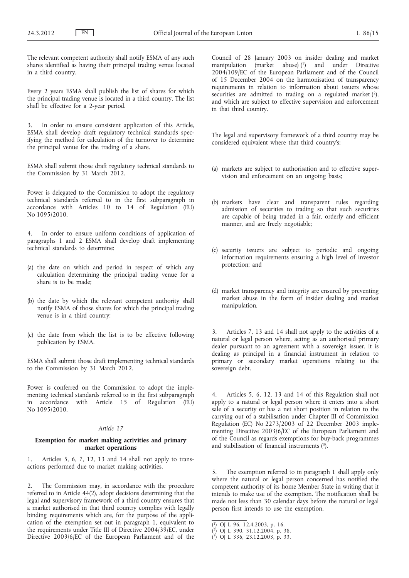The relevant competent authority shall notify ESMA of any such shares identified as having their principal trading venue located in a third country.

Every 2 years ESMA shall publish the list of shares for which the principal trading venue is located in a third country. The list shall be effective for a 2-year period.

In order to ensure consistent application of this Article, ESMA shall develop draft regulatory technical standards specifying the method for calculation of the turnover to determine the principal venue for the trading of a share.

ESMA shall submit those draft regulatory technical standards to the Commission by 31 March 2012.

Power is delegated to the Commission to adopt the regulatory technical standards referred to in the first subparagraph in accordance with Articles 10 to 14 of Regulation (EU) No 1095/2010.

4. In order to ensure uniform conditions of application of paragraphs 1 and 2 ESMA shall develop draft implementing technical standards to determine:

- (a) the date on which and period in respect of which any calculation determining the principal trading venue for a share is to be made;
- (b) the date by which the relevant competent authority shall notify ESMA of those shares for which the principal trading venue is in a third country;
- (c) the date from which the list is to be effective following publication by ESMA.

ESMA shall submit those draft implementing technical standards to the Commission by 31 March 2012.

Power is conferred on the Commission to adopt the implementing technical standards referred to in the first subparagraph in accordance with Article 15 of Regulation (EU) No 1095/2010.

# *Article 17*

## **Exemption for market making activities and primary market operations**

1. Articles 5, 6, 7, 12, 13 and 14 shall not apply to transactions performed due to market making activities.

2. The Commission may, in accordance with the procedure referred to in Article 44(2), adopt decisions determining that the legal and supervisory framework of a third country ensures that a market authorised in that third country complies with legally binding requirements which are, for the purpose of the application of the exemption set out in paragraph 1, equivalent to the requirements under Title III of Directive 2004/39/EC, under Directive 2003/6/EC of the European Parliament and of the Council of 28 January 2003 on insider dealing and market manipulation (market abuse) (1) and under Directive 2004/109/EC of the European Parliament and of the Council of 15 December 2004 on the harmonisation of transparency requirements in relation to information about issuers whose securities are admitted to trading on a regulated market  $(2)$ , and which are subject to effective supervision and enforcement in that third country.

The legal and supervisory framework of a third country may be considered equivalent where that third country's:

- (a) markets are subject to authorisation and to effective supervision and enforcement on an ongoing basis;
- (b) markets have clear and transparent rules regarding admission of securities to trading so that such securities are capable of being traded in a fair, orderly and efficient manner, and are freely negotiable;
- (c) security issuers are subject to periodic and ongoing information requirements ensuring a high level of investor protection; and
- (d) market transparency and integrity are ensured by preventing market abuse in the form of insider dealing and market manipulation.

3. Articles 7, 13 and 14 shall not apply to the activities of a natural or legal person where, acting as an authorised primary dealer pursuant to an agreement with a sovereign issuer, it is dealing as principal in a financial instrument in relation to primary or secondary market operations relating to the sovereign debt.

Articles 5, 6, 12, 13 and 14 of this Regulation shall not apply to a natural or legal person where it enters into a short sale of a security or has a net short position in relation to the carrying out of a stabilisation under Chapter III of Commission Regulation (EC) No 2273/2003 of 22 December 2003 implementing Directive 2003/6/EC of the European Parliament and of the Council as regards exemptions for buy-back programmes and stabilisation of financial instruments (3).

5. The exemption referred to in paragraph 1 shall apply only where the natural or legal person concerned has notified the competent authority of its home Member State in writing that it intends to make use of the exemption. The notification shall be made not less than 30 calendar days before the natural or legal person first intends to use the exemption.

<sup>(</sup> 1) OJ L 96, 12.4.2003, p. 16.

<sup>(</sup> 2) OJ L 390, 31.12.2004, p. 38.

<sup>(</sup> 3) OJ L 336, 23.12.2003, p. 33.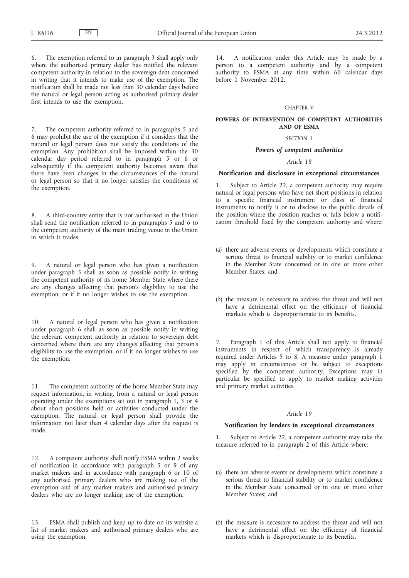6. The exemption referred to in paragraph 3 shall apply only where the authorised primary dealer has notified the relevant competent authority in relation to the sovereign debt concerned in writing that it intends to make use of the exemption. The notification shall be made not less than 30 calendar days before the natural or legal person acting as authorised primary dealer first intends to use the exemption.

7. The competent authority referred to in paragraphs 5 and 6 may prohibit the use of the exemption if it considers that the natural or legal person does not satisfy the conditions of the exemption. Any prohibition shall be imposed within the 30 calendar day period referred to in paragraph 5 or 6 or subsequently if the competent authority becomes aware that there have been changes in the circumstances of the natural or legal person so that it no longer satisfies the conditions of the exemption.

8. A third-country entity that is not authorised in the Union shall send the notification referred to in paragraphs 5 and 6 to the competent authority of the main trading venue in the Union in which it trades.

9. A natural or legal person who has given a notification under paragraph 5 shall as soon as possible notify in writing the competent authority of its home Member State where there are any changes affecting that person's eligibility to use the exemption, or if it no longer wishes to use the exemption.

10. A natural or legal person who has given a notification under paragraph 6 shall as soon as possible notify in writing the relevant competent authority in relation to sovereign debt concerned where there are any changes affecting that person's eligibility to use the exemption, or if it no longer wishes to use the exemption.

11. The competent authority of the home Member State may request information, in writing, from a natural or legal person operating under the exemptions set out in paragraph 1, 3 or 4 about short positions held or activities conducted under the exemption. The natural or legal person shall provide the information not later than 4 calendar days after the request is made.

12. A competent authority shall notify ESMA within 2 weeks of notification in accordance with paragraph 5 or 9 of any market makers and in accordance with paragraph 6 or 10 of any authorised primary dealers who are making use of the exemption and of any market makers and authorised primary dealers who are no longer making use of the exemption.

13. ESMA shall publish and keep up to date on its website a list of market makers and authorised primary dealers who are using the exemption.

14. A notification under this Article may be made by a person to a competent authority and by a competent authority to ESMA at any time within 60 calendar days before 1 November 2012.

#### CHAPTER V

## **POWERS OF INTERVENTION OF COMPETENT AUTHORITIES AND OF ESMA**

# *SECTION 1*

#### *Powers of competent authorities*

## *Article 18*

#### **Notification and disclosure in exceptional circumstances**

1. Subject to Article 22, a competent authority may require natural or legal persons who have net short positions in relation to a specific financial instrument or class of financial instruments to notify it or to disclose to the public details of the position where the position reaches or falls below a notification threshold fixed by the competent authority and where:

- (a) there are adverse events or developments which constitute a serious threat to financial stability or to market confidence in the Member State concerned or in one or more other Member States; and
- (b) the measure is necessary to address the threat and will not have a detrimental effect on the efficiency of financial markets which is disproportionate to its benefits.

Paragraph 1 of this Article shall not apply to financial instruments in respect of which transparency is already required under Articles 5 to 8. A measure under paragraph 1 may apply in circumstances or be subject to exceptions specified by the competent authority. Exceptions may in particular be specified to apply to market making activities and primary market activities.

#### *Article 19*

#### **Notification by lenders in exceptional circumstances**

1. Subject to Article 22, a competent authority may take the measure referred to in paragraph 2 of this Article where:

- (a) there are adverse events or developments which constitute a serious threat to financial stability or to market confidence in the Member State concerned or in one or more other Member States; and
- (b) the measure is necessary to address the threat and will not have a detrimental effect on the efficiency of financial markets which is disproportionate to its benefits.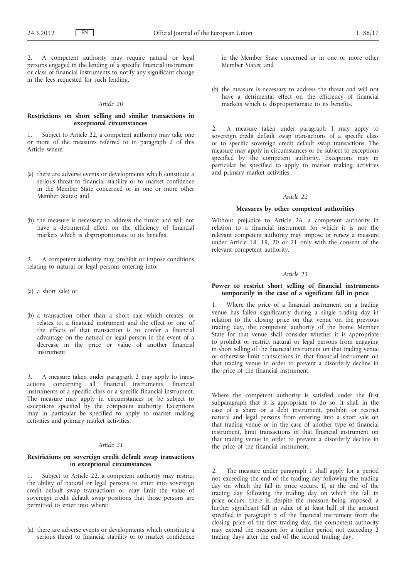2. A competent authority may require natural or legal persons engaged in the lending of a specific financial instrument or class of financial instruments to notify any significant change in the fees requested for such lending.

## *Article 20*

# **Restrictions on short selling and similar transactions in exceptional circumstances**

1. Subject to Article 22, a competent authority may take one or more of the measures referred to in paragraph 2 of this Article where:

- (a) there are adverse events or developments which constitute a serious threat to financial stability or to market confidence in the Member State concerned or in one or more other Member States; and
- (b) the measure is necessary to address the threat and will not have a detrimental effect on the efficiency of financial markets which is disproportionate to its benefits.

2. A competent authority may prohibit or impose conditions relating to natural or legal persons entering into:

- (a) a short sale; or
- (b) a transaction other than a short sale which creates, or relates to, a financial instrument and the effect or one of the effects of that transaction is to confer a financial advantage on the natural or legal person in the event of a decrease in the price or value of another financial instrument.

3. A measure taken under paragraph 2 may apply to transactions concerning all financial instruments, financial instruments of a specific class or a specific financial instrument. The measure may apply in circumstances or be subject to exceptions specified by the competent authority. Exceptions may in particular be specified to apply to market making activities and primary market activities.

#### *Article 21*

## **Restrictions on sovereign credit default swap transactions in exceptional circumstances**

1. Subject to Article 22, a competent authority may restrict the ability of natural or legal persons to enter into sovereign credit default swap transactions or may limit the value of sovereign credit default swap positions that those persons are permitted to enter into where:

(a) there are adverse events or developments which constitute a serious threat to financial stability or to market confidence in the Member State concerned or in one or more other Member States; and

(b) the measure is necessary to address the threat and will not have a detrimental effect on the efficiency of financial markets which is disproportionate to its benefits.

2. A measure taken under paragraph 1 may apply to sovereign credit default swap transactions of a specific class or to specific sovereign credit default swap transactions. The measure may apply in circumstances or be subject to exceptions specified by the competent authority. Exceptions may in particular be specified to apply to market making activities and primary market activities.

## *Article 22*

## **Measures by other competent authorities**

Without prejudice to Article 26, a competent authority in relation to a financial instrument for which it is not the relevant competent authority may impose or renew a measure under Article 18, 19, 20 or 21 only with the consent of the relevant competent authority.

## *Article 23*

## **Power to restrict short selling of financial instruments temporarily in the case of a significant fall in price**

1. Where the price of a financial instrument on a trading venue has fallen significantly during a single trading day in relation to the closing price on that venue on the previous trading day, the competent authority of the home Member State for that venue shall consider whether it is appropriate to prohibit or restrict natural or legal persons from engaging in short selling of the financial instrument on that trading venue or otherwise limit transactions in that financial instrument on that trading venue in order to prevent a disorderly decline in the price of the financial instrument.

Where the competent authority is satisfied under the first subparagraph that it is appropriate to do so, it shall in the case of a share or a debt instrument, prohibit or restrict natural and legal persons from entering into a short sale on that trading venue or in the case of another type of financial instrument, limit transactions in that financial instrument on that trading venue in order to prevent a disorderly decline in the price of the financial instrument.

2. The measure under paragraph 1 shall apply for a period not exceeding the end of the trading day following the trading day on which the fall in price occurs. If, at the end of the trading day following the trading day on which the fall in price occurs, there is, despite the measure being imposed, a further significant fall in value of at least half of the amount specified in paragraph 5 of the financial instrument from the closing price of the first trading day, the competent authority may extend the measure for a further period not exceeding 2 trading days after the end of the second trading day.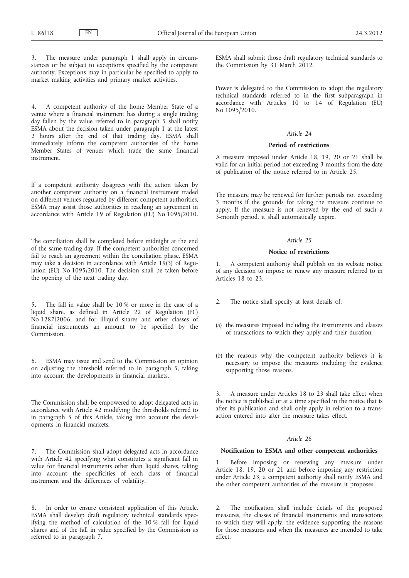The measure under paragraph 1 shall apply in circumstances or be subject to exceptions specified by the competent authority. Exceptions may in particular be specified to apply to market making activities and primary market activities.

4. A competent authority of the home Member State of a venue where a financial instrument has during a single trading day fallen by the value referred to in paragraph 5 shall notify ESMA about the decision taken under paragraph 1 at the latest 2 hours after the end of that trading day. ESMA shall immediately inform the competent authorities of the home Member States of venues which trade the same financial instrument.

If a competent authority disagrees with the action taken by another competent authority on a financial instrument traded on different venues regulated by different competent authorities, ESMA may assist those authorities in reaching an agreement in accordance with Article 19 of Regulation (EU) No 1095/2010.

The conciliation shall be completed before midnight at the end of the same trading day. If the competent authorities concerned fail to reach an agreement within the conciliation phase, ESMA may take a decision in accordance with Article  $19(3)$  of Regulation (EU) No 1095/2010. The decision shall be taken before the opening of the next trading day.

5. The fall in value shall be 10 % or more in the case of a liquid share, as defined in Article 22 of Regulation (EC) No 1287/2006, and for illiquid shares and other classes of financial instruments an amount to be specified by the Commission.

6. ESMA may issue and send to the Commission an opinion on adjusting the threshold referred to in paragraph 5, taking into account the developments in financial markets.

The Commission shall be empowered to adopt delegated acts in accordance with Article 42 modifying the thresholds referred to in paragraph 5 of this Article, taking into account the developments in financial markets.

7. The Commission shall adopt delegated acts in accordance with Article 42 specifying what constitutes a significant fall in value for financial instruments other than liquid shares, taking into account the specificities of each class of financial instrument and the differences of volatility.

8. In order to ensure consistent application of this Article, ESMA shall develop draft regulatory technical standards specifying the method of calculation of the 10 % fall for liquid shares and of the fall in value specified by the Commission as referred to in paragraph 7.

ESMA shall submit those draft regulatory technical standards to the Commission by 31 March 2012.

Power is delegated to the Commission to adopt the regulatory technical standards referred to in the first subparagraph in accordance with Articles 10 to 14 of Regulation (EU) No 1095/2010.

## *Article 24*

#### **Period of restrictions**

A measure imposed under Article 18, 19, 20 or 21 shall be valid for an initial period not exceeding 3 months from the date of publication of the notice referred to in Article 25.

The measure may be renewed for further periods not exceeding 3 months if the grounds for taking the measure continue to apply. If the measure is not renewed by the end of such a 3-month period, it shall automatically expire.

#### *Article 25*

# **Notice of restrictions**

1. A competent authority shall publish on its website notice of any decision to impose or renew any measure referred to in Articles 18 to 23.

- 2. The notice shall specify at least details of:
- (a) the measures imposed including the instruments and classes of transactions to which they apply and their duration;
- (b) the reasons why the competent authority believes it is necessary to impose the measures including the evidence supporting those reasons.

3. A measure under Articles 18 to 23 shall take effect when the notice is published or at a time specified in the notice that is after its publication and shall only apply in relation to a transaction entered into after the measure takes effect.

## *Article 26*

#### **Notification to ESMA and other competent authorities**

1. Before imposing or renewing any measure under Article 18, 19, 20 or 21 and before imposing any restriction under Article 23, a competent authority shall notify ESMA and the other competent authorities of the measure it proposes.

2. The notification shall include details of the proposed measures, the classes of financial instruments and transactions to which they will apply, the evidence supporting the reasons for those measures and when the measures are intended to take effect.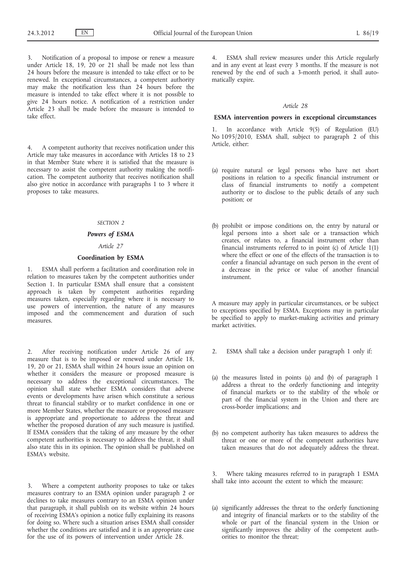3. Notification of a proposal to impose or renew a measure under Article 18, 19,  $20$  or 21 shall be made not less than 24 hours before the measure is intended to take effect or to be renewed. In exceptional circumstances, a competent authority may make the notification less than 24 hours before the measure is intended to take effect where it is not possible to give 24 hours notice. A notification of a restriction under Article 23 shall be made before the measure is intended to take effect.

4. A competent authority that receives notification under this Article may take measures in accordance with Articles 18 to 23 in that Member State where it is satisfied that the measure is necessary to assist the competent authority making the notification. The competent authority that receives notification shall also give notice in accordance with paragraphs 1 to 3 where it proposes to take measures.

# *SECTION 2*

## *Powers of ESMA*

# *Article 27*

## **Coordination by ESMA**

1. ESMA shall perform a facilitation and coordination role in relation to measures taken by the competent authorities under Section 1. In particular ESMA shall ensure that a consistent approach is taken by competent authorities regarding measures taken, especially regarding where it is necessary to use powers of intervention, the nature of any measures imposed and the commencement and duration of such measures.

2. After receiving notification under Article 26 of any measure that is to be imposed or renewed under Article 18, 19, 20 or 21, ESMA shall within 24 hours issue an opinion on whether it considers the measure or proposed measure is necessary to address the exceptional circumstances. The opinion shall state whether ESMA considers that adverse events or developments have arisen which constitute a serious threat to financial stability or to market confidence in one or more Member States, whether the measure or proposed measure is appropriate and proportionate to address the threat and whether the proposed duration of any such measure is justified. If ESMA considers that the taking of any measure by the other competent authorities is necessary to address the threat, it shall also state this in its opinion. The opinion shall be published on ESMA's website.

3. Where a competent authority proposes to take or takes measures contrary to an ESMA opinion under paragraph 2 or declines to take measures contrary to an ESMA opinion under that paragraph, it shall publish on its website within 24 hours of receiving ESMA's opinion a notice fully explaining its reasons for doing so. Where such a situation arises ESMA shall consider whether the conditions are satisfied and it is an appropriate case for the use of its powers of intervention under Article 28.

ESMA shall review measures under this Article regularly and in any event at least every 3 months. If the measure is not renewed by the end of such a 3-month period, it shall automatically expire.

#### *Article 28*

## **ESMA intervention powers in exceptional circumstances**

1. In accordance with Article 9(5) of Regulation (EU) No 1095/2010, ESMA shall, subject to paragraph 2 of this Article, either:

- (a) require natural or legal persons who have net short positions in relation to a specific financial instrument or class of financial instruments to notify a competent authority or to disclose to the public details of any such position; or
- (b) prohibit or impose conditions on, the entry by natural or legal persons into a short sale or a transaction which creates, or relates to, a financial instrument other than financial instruments referred to in point (c) of Article 1(1) where the effect or one of the effects of the transaction is to confer a financial advantage on such person in the event of a decrease in the price or value of another financial instrument.

A measure may apply in particular circumstances, or be subject to exceptions specified by ESMA. Exceptions may in particular be specified to apply to market-making activities and primary market activities.

- 2. ESMA shall take a decision under paragraph 1 only if:
- (a) the measures listed in points (a) and (b) of paragraph 1 address a threat to the orderly functioning and integrity of financial markets or to the stability of the whole or part of the financial system in the Union and there are cross-border implications; and
- (b) no competent authority has taken measures to address the threat or one or more of the competent authorities have taken measures that do not adequately address the threat.

Where taking measures referred to in paragraph 1 ESMA shall take into account the extent to which the measure:

(a) significantly addresses the threat to the orderly functioning and integrity of financial markets or to the stability of the whole or part of the financial system in the Union or significantly improves the ability of the competent authorities to monitor the threat;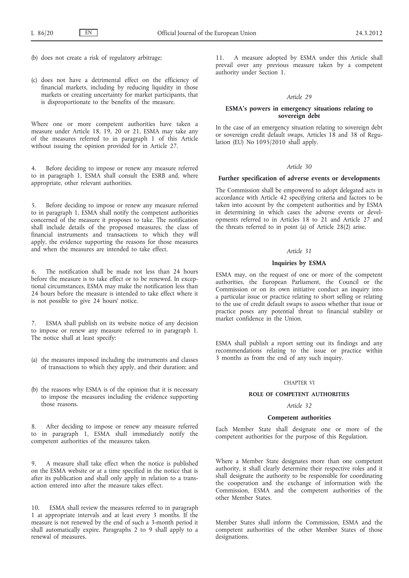(b) does not create a risk of regulatory arbitrage;

(c) does not have a detrimental effect on the efficiency of financial markets, including by reducing liquidity in those markets or creating uncertainty for market participants, that is disproportionate to the benefits of the measure.

Where one or more competent authorities have taken a measure under Article 18, 19, 20 or 21, ESMA may take any of the measures referred to in paragraph 1 of this Article without issuing the opinion provided for in Article 27.

4. Before deciding to impose or renew any measure referred to in paragraph 1, ESMA shall consult the ESRB and, where appropriate, other relevant authorities.

5. Before deciding to impose or renew any measure referred to in paragraph 1, ESMA shall notify the competent authorities concerned of the measure it proposes to take. The notification shall include details of the proposed measures, the class of financial instruments and transactions to which they will apply, the evidence supporting the reasons for those measures and when the measures are intended to take effect.

6. The notification shall be made not less than 24 hours before the measure is to take effect or to be renewed. In exceptional circumstances, ESMA may make the notification less than 24 hours before the measure is intended to take effect where it is not possible to give 24 hours' notice.

ESMA shall publish on its website notice of any decision to impose or renew any measure referred to in paragraph 1. The notice shall at least specify:

- (a) the measures imposed including the instruments and classes of transactions to which they apply, and their duration; and
- (b) the reasons why ESMA is of the opinion that it is necessary to impose the measures including the evidence supporting those reasons.

8. After deciding to impose or renew any measure referred to in paragraph 1, ESMA shall immediately notify the competent authorities of the measures taken.

9. A measure shall take effect when the notice is published on the ESMA website or at a time specified in the notice that is after its publication and shall only apply in relation to a transaction entered into after the measure takes effect.

10. ESMA shall review the measures referred to in paragraph 1 at appropriate intervals and at least every 3 months. If the measure is not renewed by the end of such a 3-month period it shall automatically expire. Paragraphs 2 to 9 shall apply to a renewal of measures.

11. A measure adopted by ESMA under this Article shall prevail over any previous measure taken by a competent authority under Section 1.

## *Article 29*

## **ESMA's powers in emergency situations relating to sovereign debt**

In the case of an emergency situation relating to sovereign debt or sovereign credit default swaps, Articles 18 and 38 of Regulation (EU) No  $1095/2010$  shall apply.

#### *Article 30*

#### **Further specification of adverse events or developments**

The Commission shall be empowered to adopt delegated acts in accordance with Article 42 specifying criteria and factors to be taken into account by the competent authorities and by ESMA in determining in which cases the adverse events or developments referred to in Articles 18 to 21 and Article 27 and the threats referred to in point (a) of Article 28(2) arise.

## *Article 31*

#### **Inquiries by ESMA**

ESMA may, on the request of one or more of the competent authorities, the European Parliament, the Council or the Commission or on its own initiative conduct an inquiry into a particular issue or practice relating to short selling or relating to the use of credit default swaps to assess whether that issue or practice poses any potential threat to financial stability or market confidence in the Union.

ESMA shall publish a report setting out its findings and any recommendations relating to the issue or practice within 3 months as from the end of any such inquiry.

#### CHAPTER VI

## **ROLE OF COMPETENT AUTHORITIES**

## *Article 32*

#### **Competent authorities**

Each Member State shall designate one or more of the competent authorities for the purpose of this Regulation.

Where a Member State designates more than one competent authority, it shall clearly determine their respective roles and it shall designate the authority to be responsible for coordinating the cooperation and the exchange of information with the Commission, ESMA and the competent authorities of the other Member States.

Member States shall inform the Commission, ESMA and the competent authorities of the other Member States of those designations.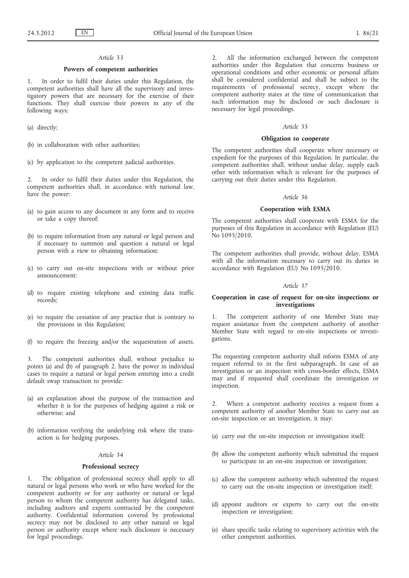## *Article 33*

# **Powers of competent authorities**

1. In order to fulfil their duties under this Regulation, the competent authorities shall have all the supervisory and investigatory powers that are necessary for the exercise of their functions. They shall exercise their powers in any of the following ways:

(a) directly;

- (b) in collaboration with other authorities;
- (c) by application to the competent judicial authorities.

In order to fulfil their duties under this Regulation, the competent authorities shall, in accordance with national law, have the power:

- (a) to gain access to any document in any form and to receive or take a copy thereof;
- (b) to require information from any natural or legal person and if necessary to summon and question a natural or legal person with a view to obtaining information;
- (c) to carry out on-site inspections with or without prior announcement;
- (d) to require existing telephone and existing data traffic records;
- (e) to require the cessation of any practice that is contrary to the provisions in this Regulation;
- (f) to require the freezing and/or the sequestration of assets.

3. The competent authorities shall, without prejudice to points (a) and (b) of paragraph 2, have the power in individual cases to require a natural or legal person entering into a credit default swap transaction to provide:

- (a) an explanation about the purpose of the transaction and whether it is for the purposes of hedging against a risk or otherwise; and
- (b) information verifying the underlying risk where the transaction is for hedging purposes.

## *Article 34*

#### **Professional secrecy**

1. The obligation of professional secrecy shall apply to all natural or legal persons who work or who have worked for the competent authority or for any authority or natural or legal person to whom the competent authority has delegated tasks, including auditors and experts contracted by the competent authority. Confidential information covered by professional secrecy may not be disclosed to any other natural or legal person or authority except where such disclosure is necessary for legal proceedings.

2. All the information exchanged between the competent authorities under this Regulation that concerns business or operational conditions and other economic or personal affairs shall be considered confidential and shall be subject to the requirements of professional secrecy, except where the competent authority states at the time of communication that such information may be disclosed or such disclosure is necessary for legal proceedings.

#### *Article 35*

## **Obligation to cooperate**

The competent authorities shall cooperate where necessary or expedient for the purposes of this Regulation. In particular, the competent authorities shall, without undue delay, supply each other with information which is relevant for the purposes of carrying out their duties under this Regulation.

#### *Article 36*

# **Cooperation with ESMA**

The competent authorities shall cooperate with ESMA for the purposes of this Regulation in accordance with Regulation (EU) No 1095/2010.

The competent authorities shall provide, without delay, ESMA with all the information necessary to carry out its duties in accordance with Regulation (EU) No 1095/2010.

#### *Article 37*

# **Cooperation in case of request for on-site inspections or investigations**

1. The competent authority of one Member State may request assistance from the competent authority of another Member State with regard to on-site inspections or investigations.

The requesting competent authority shall inform ESMA of any request referred to in the first subparagraph. In case of an investigation or an inspection with cross-border effects, ESMA may and if requested shall coordinate the investigation or inspection.

Where a competent authority receives a request from a competent authority of another Member State to carry out an on-site inspection or an investigation, it may:

- (a) carry out the on-site inspection or investigation itself;
- (b) allow the competent authority which submitted the request to participate in an on-site inspection or investigation;
- (c) allow the competent authority which submitted the request to carry out the on-site inspection or investigation itself;
- (d) appoint auditors or experts to carry out the on-site inspection or investigation;
- (e) share specific tasks relating to supervisory activities with the other competent authorities.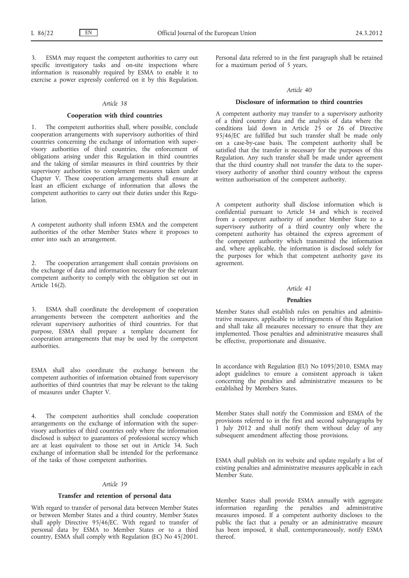ESMA may request the competent authorities to carry out specific investigatory tasks and on-site inspections where information is reasonably required by ESMA to enable it to exercise a power expressly conferred on it by this Regulation.

#### *Article 38*

## **Cooperation with third countries**

1. The competent authorities shall, where possible, conclude cooperation arrangements with supervisory authorities of third countries concerning the exchange of information with supervisory authorities of third countries, the enforcement of obligations arising under this Regulation in third countries and the taking of similar measures in third countries by their supervisory authorities to complement measures taken under Chapter V. These cooperation arrangements shall ensure at least an efficient exchange of information that allows the competent authorities to carry out their duties under this Regulation.

A competent authority shall inform ESMA and the competent authorities of the other Member States where it proposes to enter into such an arrangement.

2. The cooperation arrangement shall contain provisions on the exchange of data and information necessary for the relevant competent authority to comply with the obligation set out in Article 16(2).

3. ESMA shall coordinate the development of cooperation arrangements between the competent authorities and the relevant supervisory authorities of third countries. For that purpose, ESMA shall prepare a template document for cooperation arrangements that may be used by the competent authorities.

ESMA shall also coordinate the exchange between the competent authorities of information obtained from supervisory authorities of third countries that may be relevant to the taking of measures under Chapter V.

4. The competent authorities shall conclude cooperation arrangements on the exchange of information with the supervisory authorities of third countries only where the information disclosed is subject to guarantees of professional secrecy which are at least equivalent to those set out in Article 34. Such exchange of information shall be intended for the performance of the tasks of those competent authorities.

# *Article 39*

#### **Transfer and retention of personal data**

With regard to transfer of personal data between Member States or between Member States and a third country, Member States shall apply Directive 95/46/EC. With regard to transfer of personal data by ESMA to Member States or to a third country, ESMA shall comply with Regulation (EC) No 45/2001.

Personal data referred to in the first paragraph shall be retained for a maximum period of 5 years.

#### *Article 40*

#### **Disclosure of information to third countries**

A competent authority may transfer to a supervisory authority of a third country data and the analysis of data where the conditions laid down in Article 25 or 26 of Directive 95/46/EC are fulfilled but such transfer shall be made only on a case-by-case basis. The competent authority shall be satisfied that the transfer is necessary for the purposes of this Regulation. Any such transfer shall be made under agreement that the third country shall not transfer the data to the supervisory authority of another third country without the express written authorisation of the competent authority.

A competent authority shall disclose information which is confidential pursuant to Article 34 and which is received from a competent authority of another Member State to a supervisory authority of a third country only where the competent authority has obtained the express agreement of the competent authority which transmitted the information and, where applicable, the information is disclosed solely for the purposes for which that competent authority gave its agreement.

#### *Article 41*

#### **Penalties**

Member States shall establish rules on penalties and administrative measures, applicable to infringements of this Regulation and shall take all measures necessary to ensure that they are implemented. Those penalties and administrative measures shall be effective, proportionate and dissuasive.

In accordance with Regulation (EU) No 1095/2010, ESMA may adopt guidelines to ensure a consistent approach is taken concerning the penalties and administrative measures to be established by Members States.

Member States shall notify the Commission and ESMA of the provisions referred to in the first and second subparagraphs by 1 July 2012 and shall notify them without delay of any subsequent amendment affecting those provisions.

ESMA shall publish on its website and update regularly a list of existing penalties and administrative measures applicable in each Member State.

Member States shall provide ESMA annually with aggregate information regarding the penalties and administrative measures imposed. If a competent authority discloses to the public the fact that a penalty or an administrative measure has been imposed, it shall, contemporaneously, notify ESMA thereof.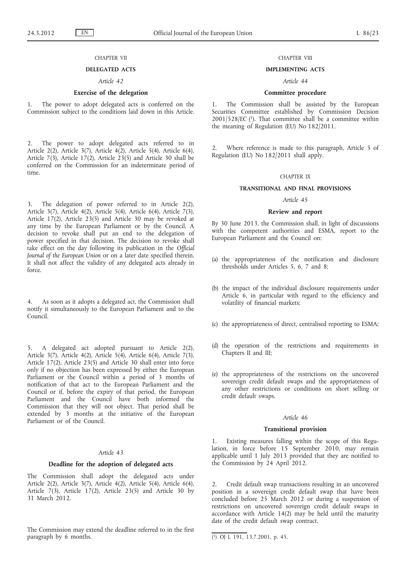# CHAPTER VII

# **DELEGATED ACTS**

# *Article 42*

# **Exercise of the delegation**

1. The power to adopt delegated acts is conferred on the Commission subject to the conditions laid down in this Article.

2. The power to adopt delegated acts referred to in Article 2(2), Article 3(7), Article 4(2), Article 5(4), Article 6(4), Article 7(3), Article 17(2), Article 23(5) and Article 30 shall be conferred on the Commission for an indeterminate period of time.

3. The delegation of power referred to in Article 2(2), Article 3(7), Article 4(2), Article 5(4), Article 6(4), Article 7(3), Article 17(2), Article 23(5) and Article 30 may be revoked at any time by the European Parliament or by the Council. A decision to revoke shall put an end to the delegation of power specified in that decision. The decision to revoke shall take effect on the day following its publication in the *Official Journal of the European Union* or on a later date specified therein. It shall not affect the validity of any delegated acts already in force.

4. As soon as it adopts a delegated act, the Commission shall notify it simultaneously to the European Parliament and to the Council.

5. A delegated act adopted pursuant to Article 2(2), Article 3(7), Article 4(2), Article 5(4), Article 6(4), Article 7(3), Article 17(2), Article 23(5) and Article 30 shall enter into force only if no objection has been expressed by either the European Parliament or the Council within a period of 3 months of notification of that act to the European Parliament and the Council or if, before the expiry of that period, the European Parliament and the Council have both informed the Commission that they will not object. That period shall be extended by 3 months at the initiative of the European Parliament or of the Council.

#### *Article 43*

#### **Deadline for the adoption of delegated acts**

The Commission shall adopt the delegated acts under Article 2(2), Article 3(7), Article 4(2), Article 5(4), Article 6(4), Article 7(3), Article 17(2), Article 23(5) and Article 30 by 31 March 2012.

The Commission may extend the deadline referred to in the first paragraph by 6 months.

#### CHAPTER VIII

## **IMPLEMENTING ACTS**

# *Article 44*

## **Committee procedure**

1. The Commission shall be assisted by the European Securities Committee established by Commission Decision  $2001/528/EC$  (1). That committee shall be a committee within the meaning of Regulation (EU) No 182/2011.

Where reference is made to this paragraph, Article 5 of Regulation (EU) No 182/2011 shall apply.

#### CHAPTER IX

#### **TRANSITIONAL AND FINAL PROVISIONS**

#### *Article 45*

#### **Review and report**

By 30 June 2013, the Commission shall, in light of discussions with the competent authorities and ESMA, report to the European Parliament and the Council on:

- (a) the appropriateness of the notification and disclosure thresholds under Articles 5, 6, 7 and 8;
- (b) the impact of the individual disclosure requirements under Article 6, in particular with regard to the efficiency and volatility of financial markets;
- (c) the appropriateness of direct, centralised reporting to ESMA;
- (d) the operation of the restrictions and requirements in Chapters II and III;
- (e) the appropriateness of the restrictions on the uncovered sovereign credit default swaps and the appropriateness of any other restrictions or conditions on short selling or credit default swaps.

#### *Article 46*

#### **Transitional provision**

1. Existing measures falling within the scope of this Regulation, in force before 15 September 2010, may remain applicable until 1 July 2013 provided that they are notified to the Commission by 24 April 2012.

2. Credit default swap transactions resulting in an uncovered position in a sovereign credit default swap that have been concluded before 25 March 2012 or during a suspension of restrictions on uncovered sovereign credit default swaps in accordance with Article 14(2) may be held until the maturity date of the credit default swap contract.

<sup>(</sup> 1) OJ L 191, 13.7.2001, p. 45.